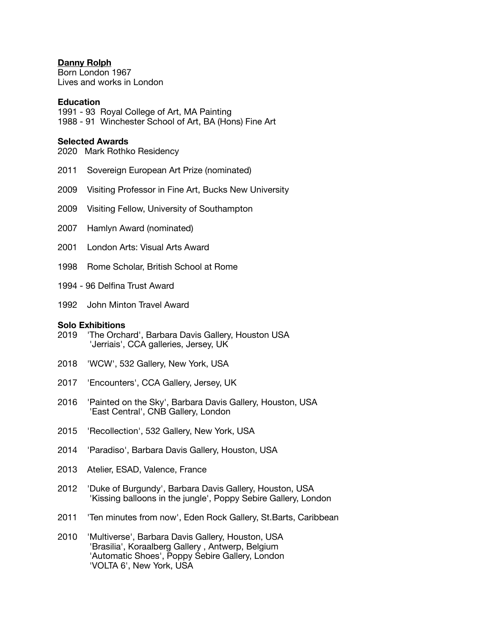## **Danny Rolph**

Born London 1967 Lives and works in London

### **Education**

1991 - 93 Royal College of Art, MA Painting 1988 - 91 Winchester School of Art, BA (Hons) Fine Art

# **Selected Awards**

2020 Mark Rothko Residency

- 2011 Sovereign European Art Prize (nominated)
- 2009 Visiting Professor in Fine Art, Bucks New University
- 2009 Visiting Fellow, University of Southampton
- 2007 Hamlyn Award (nominated)
- 2001 London Arts: Visual Arts Award
- 1998 Rome Scholar, British School at Rome
- 1994 96 Delfina Trust Award
- 1992 John Minton Travel Award

#### **Solo Exhibitions**

- 2019 'The Orchard', Barbara Davis Gallery, Houston USA 'Jerriais', CCA galleries, Jersey, UK
- 2018 'WCW', 532 Gallery, New York, USA
- 2017 'Encounters', CCA Gallery, Jersey, UK
- 2016 'Painted on the Sky', Barbara Davis Gallery, Houston, USA 'East Central', CNB Gallery, London
- 2015 'Recollection', 532 Gallery, New York, USA
- 2014 'Paradiso', Barbara Davis Gallery, Houston, USA
- 2013 Atelier, ESAD, Valence, France
- 2012 'Duke of Burgundy', Barbara Davis Gallery, Houston, USA 'Kissing balloons in the jungle', Poppy Sebire Gallery, London
- 2011 'Ten minutes from now', Eden Rock Gallery, St.Barts, Caribbean
- 2010 'Multiverse', Barbara Davis Gallery, Houston, USA 'Brasilia', Koraalberg Gallery , Antwerp, Belgium 'Automatic Shoes', Poppy Sebire Gallery, London 'VOLTA 6', New York, USA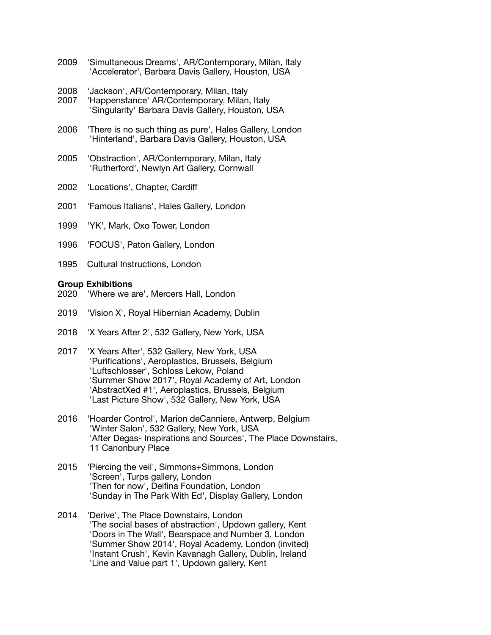- 2009 'Simultaneous Dreams', AR/Contemporary, Milan, Italy 'Accelerator', Barbara Davis Gallery, Houston, USA
- 2008 'Jackson', AR/Contemporary, Milan, Italy
- 2007 'Happenstance' AR/Contemporary, Milan, Italy 'Singularity' Barbara Davis Gallery, Houston, USA
- 2006 'There is no such thing as pure', Hales Gallery, London 'Hinterland', Barbara Davis Gallery, Houston, USA
- 2005 'Obstraction', AR/Contemporary, Milan, Italy 'Rutherford', Newlyn Art Gallery, Cornwall
- 2002 'Locations', Chapter, Cardiff
- 2001 'Famous Italians', Hales Gallery, London
- 1999 'YK', Mark, Oxo Tower, London
- 1996 'FOCUS', Paton Gallery, London
- 1995 Cultural Instructions, London

#### **Group Exhibitions**

- 2020 'Where we are', Mercers Hall, London
- 2019 'Vision X', Royal Hibernian Academy, Dublin
- 2018 'X Years After 2', 532 Gallery, New York, USA
- 2017 'X Years After', 532 Gallery, New York, USA 'Purifications', Aeroplastics, Brussels, Belgium 'Luftschlosser', Schloss Lekow, Poland 'Summer Show 2017', Royal Academy of Art, London 'AbstractXed #1', Aeroplastics, Brussels, Belgium 'Last Picture Show', 532 Gallery, New York, USA
- 2016 'Hoarder Control', Marion deCanniere, Antwerp, Belgium 'Winter Salon', 532 Gallery, New York, USA 'After Degas- Inspirations and Sources', The Place Downstairs, 11 Canonbury Place
- 2015 'Piercing the veil', Simmons+Simmons, London 'Screen', Turps gallery, London 'Then for now', Delfina Foundation, London 'Sunday in The Park With Ed', Display Gallery, London
- 2014 'Derive', The Place Downstairs, London 'The social bases of abstraction', Updown gallery, Kent 'Doors in The Wall', Bearspace and Number 3, London 'Summer Show 2014', Royal Academy, London (invited) 'Instant Crush', Kevin Kavanagh Gallery, Dublin, Ireland 'Line and Value part 1', Updown gallery, Kent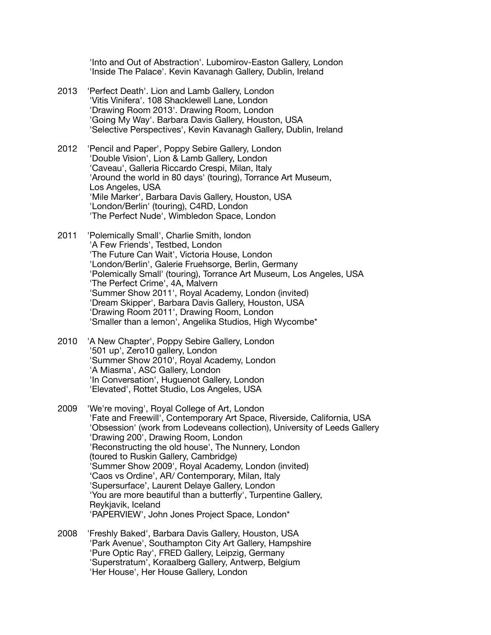'Into and Out of Abstraction'. Lubomirov-Easton Gallery, London 'Inside The Palace'. Kevin Kavanagh Gallery, Dublin, Ireland

- 2013 'Perfect Death'. Lion and Lamb Gallery, London 'Vitis Vinifera'. 108 Shacklewell Lane, London 'Drawing Room 2013'. Drawing Room, London 'Going My Way'. Barbara Davis Gallery, Houston, USA 'Selective Perspectives', Kevin Kavanagh Gallery, Dublin, Ireland
- 2012 'Pencil and Paper', Poppy Sebire Gallery, London 'Double Vision', Lion & Lamb Gallery, London 'Caveau', Galleria Riccardo Crespi, Milan, Italy 'Around the world in 80 days' (touring), Torrance Art Museum, Los Angeles, USA 'Mile Marker', Barbara Davis Gallery, Houston, USA 'London/Berlin' (touring), C4RD, London 'The Perfect Nude', Wimbledon Space, London
- 2011 'Polemically Small', Charlie Smith, london 'A Few Friends', Testbed, London 'The Future Can Wait', Victoria House, London 'London/Berlin', Galerie Fruehsorge, Berlin, Germany 'Polemically Small' (touring), Torrance Art Museum, Los Angeles, USA 'The Perfect Crime', 4A, Malvern 'Summer Show 2011', Royal Academy, London (invited) 'Dream Skipper', Barbara Davis Gallery, Houston, USA 'Drawing Room 2011', Drawing Room, London 'Smaller than a lemon', Angelika Studios, High Wycombe\*
- 2010 'A New Chapter', Poppy Sebire Gallery, London '501 up', Zero10 gallery, London 'Summer Show 2010', Royal Academy, London 'A Miasma', ASC Gallery, London 'In Conversation', Huguenot Gallery, London 'Elevated', Rottet Studio, Los Angeles, USA
- 2009 'We're moving', Royal College of Art, London 'Fate and Freewill', Contemporary Art Space, Riverside, California, USA 'Obsession' (work from Lodeveans collection), University of Leeds Gallery 'Drawing 200', Drawing Room, London 'Reconstructing the old house', The Nunnery, London (toured to Ruskin Gallery, Cambridge) 'Summer Show 2009', Royal Academy, London (invited) 'Caos vs Ordine', AR/ Contemporary, Milan, Italy 'Supersurface', Laurent Delaye Gallery, London 'You are more beautiful than a butterfly', Turpentine Gallery, Reykjavik, Iceland 'PAPERVIEW', John Jones Project Space, London\*
- 2008 'Freshly Baked', Barbara Davis Gallery, Houston, USA 'Park Avenue', Southampton City Art Gallery, Hampshire 'Pure Optic Ray', FRED Gallery, Leipzig, Germany 'Superstratum', Koraalberg Gallery, Antwerp, Belgium 'Her House', Her House Gallery, London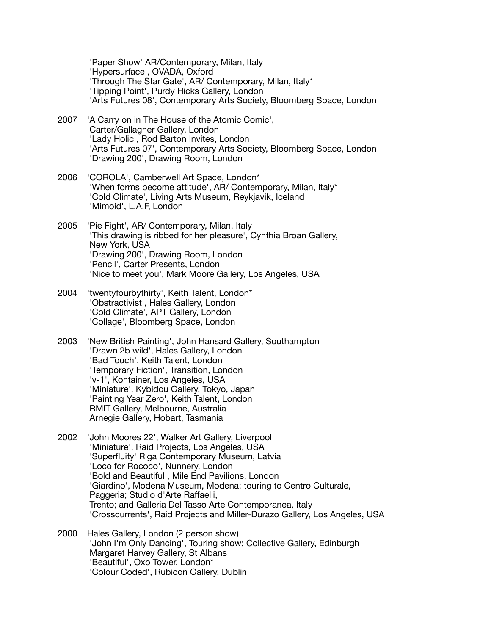'Paper Show' AR/Contemporary, Milan, Italy 'Hypersurface', OVADA, Oxford 'Through The Star Gate', AR/ Contemporary, Milan, Italy\* 'Tipping Point', Purdy Hicks Gallery, London 'Arts Futures 08', Contemporary Arts Society, Bloomberg Space, London

- 2007 'A Carry on in The House of the Atomic Comic', Carter/Gallagher Gallery, London 'Lady Holic', Rod Barton Invites, London 'Arts Futures 07', Contemporary Arts Society, Bloomberg Space, London 'Drawing 200', Drawing Room, London
- 2006 'COROLA', Camberwell Art Space, London\* 'When forms become attitude', AR/ Contemporary, Milan, Italy\* 'Cold Climate', Living Arts Museum, Reykjavik, Iceland 'Mimoid', L.A.F, London
- 2005 'Pie Fight', AR/ Contemporary, Milan, Italy 'This drawing is ribbed for her pleasure', Cynthia Broan Gallery, New York, USA 'Drawing 200', Drawing Room, London 'Pencil', Carter Presents, London 'Nice to meet you', Mark Moore Gallery, Los Angeles, USA
- 2004 'twentyfourbythirty', Keith Talent, London\* 'Obstractivist', Hales Gallery, London 'Cold Climate', APT Gallery, London 'Collage', Bloomberg Space, London
- 2003 'New British Painting', John Hansard Gallery, Southampton 'Drawn 2b wild', Hales Gallery, London 'Bad Touch', Keith Talent, London 'Temporary Fiction', Transition, London 'v-1', Kontainer, Los Angeles, USA 'Miniature', Kybidou Gallery, Tokyo, Japan 'Painting Year Zero', Keith Talent, London RMIT Gallery, Melbourne, Australia Arnegie Gallery, Hobart, Tasmania
- 2002 'John Moores 22', Walker Art Gallery, Liverpool 'Miniature', Raid Projects, Los Angeles, USA 'Superfluity' Riga Contemporary Museum, Latvia 'Loco for Rococo', Nunnery, London 'Bold and Beautiful', Mile End Pavilions, London 'Giardino', Modena Museum, Modena; touring to Centro Culturale, Paggeria: Studio d'Arte Raffaelli. Trento; and Galleria Del Tasso Arte Contemporanea, Italy 'Crosscurrents', Raid Projects and Miller-Durazo Gallery, Los Angeles, USA
- 2000 Hales Gallery, London (2 person show) 'John I'm Only Dancing', Touring show; Collective Gallery, Edinburgh Margaret Harvey Gallery, St Albans 'Beautiful', Oxo Tower, London\* 'Colour Coded', Rubicon Gallery, Dublin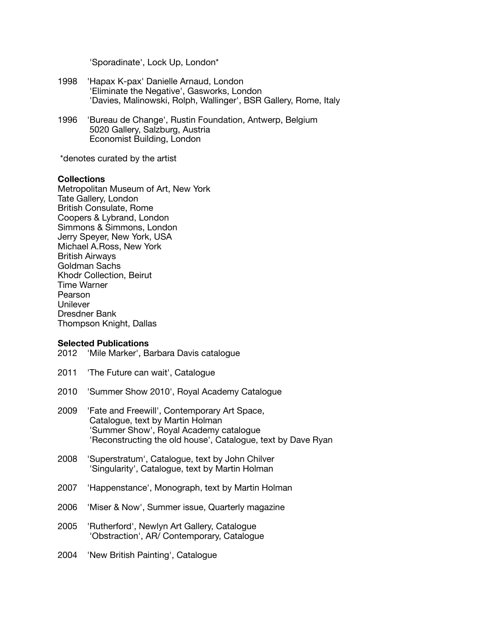'Sporadinate', Lock Up, London\*

- 1998 'Hapax K-pax' Danielle Arnaud, London 'Eliminate the Negative', Gasworks, London 'Davies, Malinowski, Rolph, Wallinger', BSR Gallery, Rome, Italy
- 1996 'Bureau de Change', Rustin Foundation, Antwerp, Belgium 5020 Gallery, Salzburg, Austria Economist Building, London

\*denotes curated by the artist

## **Collections**

Metropolitan Museum of Art, New York Tate Gallery, London British Consulate, Rome Coopers & Lybrand, London Simmons & Simmons, London Jerry Speyer, New York, USA Michael A.Ross, New York British Airways Goldman Sachs Khodr Collection, Beirut Time Warner Pearson **Unilever** Dresdner Bank Thompson Knight, Dallas

## **Selected Publications**

- 2012 'Mile Marker', Barbara Davis catalogue
- 2011 'The Future can wait', Catalogue
- 2010 'Summer Show 2010', Royal Academy Catalogue
- 2009 'Fate and Freewill', Contemporary Art Space, Catalogue, text by Martin Holman 'Summer Show', Royal Academy catalogue 'Reconstructing the old house', Catalogue, text by Dave Ryan
- 2008 'Superstratum', Catalogue, text by John Chilver 'Singularity', Catalogue, text by Martin Holman
- 2007 'Happenstance', Monograph, text by Martin Holman
- 2006 'Miser & Now', Summer issue, Quarterly magazine
- 2005 'Rutherford', Newlyn Art Gallery, Catalogue 'Obstraction', AR/ Contemporary, Catalogue
- 2004 'New British Painting', Catalogue